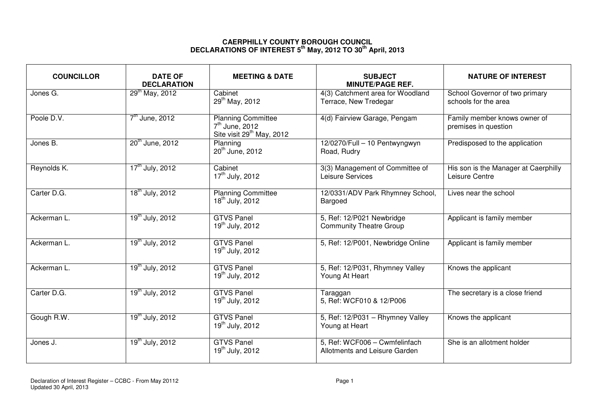## **CAERPHILLY COUNTY BOROUGH COUNCIL DECLARATIONS OF INTEREST 5th May, 2012 TO 30th April, 2013**

| <b>COUNCILLOR</b> | <b>DATE OF</b><br><b>DECLARATION</b> | <b>MEETING &amp; DATE</b>                                                              | <b>SUBJECT</b><br><b>MINUTE/PAGE REF.</b>                      | <b>NATURE OF INTEREST</b>                              |
|-------------------|--------------------------------------|----------------------------------------------------------------------------------------|----------------------------------------------------------------|--------------------------------------------------------|
| Jones G.          | $29^{th}$ May, 2012                  | Cabinet<br>29 <sup>th</sup> May, 2012                                                  | 4(3) Catchment area for Woodland<br>Terrace, New Tredegar      | School Governor of two primary<br>schools for the area |
| Poole D.V.        | $7th$ June, 2012                     | <b>Planning Committee</b><br>$7th$ June, 2012<br>Site visit 29 <sup>th</sup> May, 2012 | 4(d) Fairview Garage, Pengam                                   | Family member knows owner of<br>premises in question   |
| Jones B.          | $20^{th}$ June, 2012                 | Planning<br>20 <sup>th</sup> June, 2012                                                | 12/0270/Full - 10 Pentwyngwyn<br>Road, Rudry                   | Predisposed to the application                         |
| Reynolds K.       | 17 <sup>th</sup> July, 2012          | Cabinet<br>17 <sup>th</sup> July, 2012                                                 | 3(3) Management of Committee of<br>Leisure Services            | His son is the Manager at Caerphilly<br>Leisure Centre |
| Carter D.G.       | 18 <sup>th</sup> July, 2012          | <b>Planning Committee</b><br>18 <sup>th</sup> July, 2012                               | 12/0331/ADV Park Rhymney School,<br>Bargoed                    | Lives near the school                                  |
| Ackerman L.       | 19 <sup>th</sup> July, 2012          | <b>GTVS Panel</b><br>19 <sup>th</sup> July, 2012                                       | 5, Ref: 12/P021 Newbridge<br><b>Community Theatre Group</b>    | Applicant is family member                             |
| Ackerman L.       | 19 <sup>th</sup> July, 2012          | <b>GTVS Panel</b><br>19 <sup>th</sup> July, 2012                                       | 5, Ref: 12/P001, Newbridge Online                              | Applicant is family member                             |
| Ackerman L.       | 19 <sup>th</sup> July, 2012          | <b>GTVS Panel</b><br>19 <sup>th</sup> July, 2012                                       | 5, Ref: 12/P031, Rhymney Valley<br>Young At Heart              | Knows the applicant                                    |
| Carter D.G.       | 19 <sup>th</sup> July, 2012          | <b>GTVS Panel</b><br>19 <sup>th</sup> July, 2012                                       | Taraggan<br>5, Ref: WCF010 & 12/P006                           | The secretary is a close friend                        |
| Gough R.W.        | $19^{th}$ July, 2012                 | <b>GTVS Panel</b><br>19 <sup>th</sup> July, 2012                                       | 5, Ref: 12/P031 - Rhymney Valley<br>Young at Heart             | Knows the applicant                                    |
| Jones J.          | 19 <sup>th</sup> July, 2012          | <b>GTVS Panel</b><br>19 <sup>th</sup> July, 2012                                       | 5, Ref: WCF006 - Cwmfelinfach<br>Allotments and Leisure Garden | She is an allotment holder                             |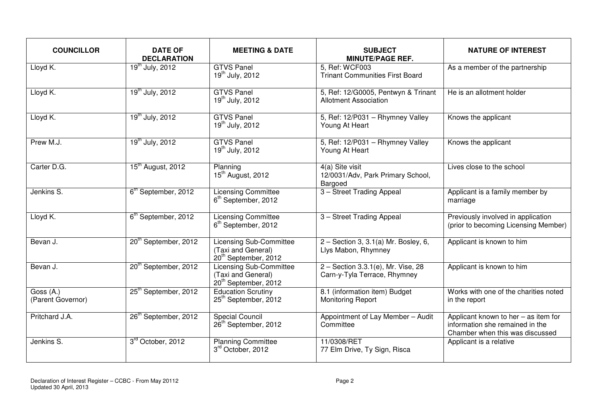| <b>COUNCILLOR</b>              | <b>DATE OF</b><br><b>DECLARATION</b> | <b>MEETING &amp; DATE</b>                                                                | <b>SUBJECT</b><br><b>MINUTE/PAGE REF.</b>                           | <b>NATURE OF INTEREST</b>                                                                                  |
|--------------------------------|--------------------------------------|------------------------------------------------------------------------------------------|---------------------------------------------------------------------|------------------------------------------------------------------------------------------------------------|
| Lloyd K.                       | $19^{th}$ July, 2012                 | <b>GTVS Panel</b><br>$19^{th}$ July, 2012                                                | 5, Ref: WCF003<br><b>Trinant Communities First Board</b>            | As a member of the partnership                                                                             |
| Lloyd K.                       | $19^{th}$ July, 2012                 | <b>GTVS Panel</b><br>$19^{th}$ July, 2012                                                | 5, Ref: 12/G0005, Pentwyn & Trinant<br><b>Allotment Association</b> | He is an allotment holder                                                                                  |
| Lloyd K.                       | $19^{th}$ July, 2012                 | <b>GTVS Panel</b><br>$19^{th}$ July, 2012                                                | 5, Ref: 12/P031 - Rhymney Valley<br>Young At Heart                  | Knows the applicant                                                                                        |
| Prew $M.\overline{J.}$         | $19^{th}$ July, 2012                 | <b>GTVS Panel</b><br>19 <sup>th</sup> July, 2012                                         | 5, Ref: 12/P031 - Rhymney Valley<br>Young At Heart                  | Knows the applicant                                                                                        |
| Carter D.G.                    | 15 <sup>th</sup> August, 2012        | Planning<br>15 <sup>th</sup> August, 2012                                                | 4(a) Site visit<br>12/0031/Adv, Park Primary School,<br>Bargoed     | Lives close to the school                                                                                  |
| Jenkins S.                     | 6 <sup>th</sup> September, 2012      | <b>Licensing Committee</b><br>6 <sup>th</sup> September, 2012                            | 3 - Street Trading Appeal                                           | Applicant is a family member by<br>marriage                                                                |
| Lloyd K.                       | 6 <sup>th</sup> September, 2012      | <b>Licensing Committee</b><br>6 <sup>th</sup> September, 2012                            | 3 - Street Trading Appeal                                           | Previously involved in application<br>(prior to becoming Licensing Member)                                 |
| Bevan J.                       | 20 <sup>th</sup> September, 2012     | <b>Licensing Sub-Committee</b><br>(Taxi and General)<br>20 <sup>th</sup> September, 2012 | $2 -$ Section 3, 3.1(a) Mr. Bosley, 6,<br>Llys Mabon, Rhymney       | Applicant is known to him                                                                                  |
| Bevan J.                       | 20 <sup>th</sup> September, 2012     | <b>Licensing Sub-Committee</b><br>(Taxi and General)<br>20 <sup>th</sup> September, 2012 | 2 - Section 3.3.1(e), Mr. Vise, 28<br>Carn-y-Tyla Terrace, Rhymney  | Applicant is known to him                                                                                  |
| Goss (A.)<br>(Parent Governor) | 25 <sup>th</sup> September, 2012     | <b>Education Scrutiny</b><br>25 <sup>th</sup> September, 2012                            | 8.1 (information item) Budget<br><b>Monitoring Report</b>           | Works with one of the charities noted<br>in the report                                                     |
| Pritchard J.A.                 | 26 <sup>th</sup> September, 2012     | <b>Special Council</b><br>26 <sup>th</sup> September, 2012                               | Appointment of Lay Member - Audit<br>Committee                      | Applicant known to her - as item for<br>information she remained in the<br>Chamber when this was discussed |
| Jenkins S.                     | 3rd October, 2012                    | <b>Planning Committee</b><br>3rd October, 2012                                           | 11/0308/RET<br>77 Elm Drive, Ty Sign, Risca                         | Applicant is a relative                                                                                    |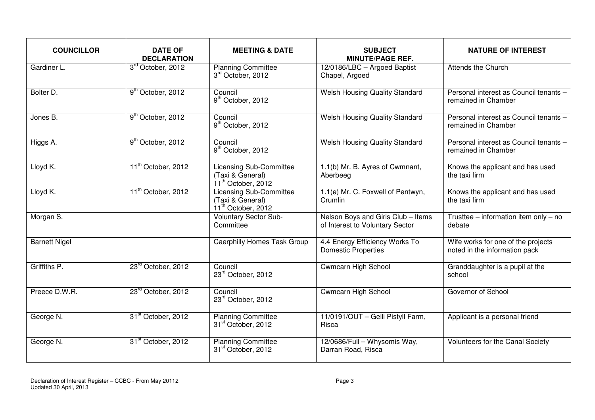| <b>COUNCILLOR</b>    | <b>DATE OF</b><br><b>DECLARATION</b> | <b>MEETING &amp; DATE</b>                                                            | <b>SUBJECT</b><br><b>MINUTE/PAGE REF.</b>                             | <b>NATURE OF INTEREST</b>                                           |
|----------------------|--------------------------------------|--------------------------------------------------------------------------------------|-----------------------------------------------------------------------|---------------------------------------------------------------------|
| Gardiner L.          | 3rd October, 2012                    | <b>Planning Committee</b><br>3rd October, 2012                                       | 12/0186/LBC - Argoed Baptist<br>Chapel, Argoed                        | <b>Attends the Church</b>                                           |
| Bolter D.            | 9 <sup>th</sup> October, 2012        | Council<br>9 <sup>th</sup> October, 2012                                             | <b>Welsh Housing Quality Standard</b>                                 | Personal interest as Council tenants -<br>remained in Chamber       |
| Jones B.             | 9 <sup>th</sup> October, 2012        | Council<br>9 <sup>th</sup> October, 2012                                             | Welsh Housing Quality Standard                                        | Personal interest as Council tenants -<br>remained in Chamber       |
| Higgs A.             | 9 <sup>th</sup> October, 2012        | Council<br>9 <sup>th</sup> October, 2012                                             | <b>Welsh Housing Quality Standard</b>                                 | Personal interest as Council tenants -<br>remained in Chamber       |
| Lloyd K.             | 11 <sup>th</sup> October, 2012       | Licensing Sub-Committee<br>(Taxi & General)<br>$11^{th}$ October, 2012               | 1.1(b) Mr. B. Ayres of Cwmnant,<br>Aberbeeg                           | Knows the applicant and has used<br>the taxi firm                   |
| Lloyd K.             | 11 <sup>th</sup> October, 2012       | <b>Licensing Sub-Committee</b><br>(Taxi & General)<br>11 <sup>th</sup> October, 2012 | 1.1(e) Mr. C. Foxwell of Pentwyn,<br>Crumlin                          | Knows the applicant and has used<br>the taxi firm                   |
| Morgan S.            |                                      | <b>Voluntary Sector Sub-</b><br>Committee                                            | Nelson Boys and Girls Club - Items<br>of Interest to Voluntary Sector | Trusttee – information item only – no<br>debate                     |
| <b>Barnett Nigel</b> |                                      | <b>Caerphilly Homes Task Group</b>                                                   | 4.4 Energy Efficiency Works To<br><b>Domestic Properties</b>          | Wife works for one of the projects<br>noted in the information pack |
| Griffiths P.         | 23rd October, 2012                   | Council<br>23rd October, 2012                                                        | <b>Cwmcarn High School</b>                                            | Granddaughter is a pupil at the<br>school                           |
| Preece D.W.R.        | 23rd October, 2012                   | Council<br>23rd October, 2012                                                        | <b>Cwmcarn High School</b>                                            | Governor of School                                                  |
| George N.            | 31 <sup>st</sup> October, 2012       | <b>Planning Committee</b><br>31 <sup>st</sup> October, 2012                          | 11/0191/OUT - Gelli Pistyll Farm,<br>Risca                            | Applicant is a personal friend                                      |
| George N.            | 31 <sup>st</sup> October, 2012       | <b>Planning Committee</b><br>31 <sup>st</sup> October, 2012                          | 12/0686/Full - Whysomis Way,<br>Darran Road, Risca                    | Volunteers for the Canal Society                                    |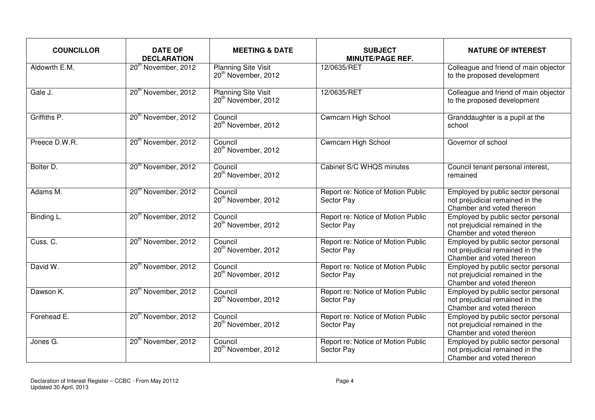| <b>COUNCILLOR</b> | <b>DATE OF</b><br><b>DECLARATION</b> | <b>MEETING &amp; DATE</b>                                     | <b>SUBJECT</b><br><b>MINUTE/PAGE REF.</b>        | <b>NATURE OF INTEREST</b>                                                                          |
|-------------------|--------------------------------------|---------------------------------------------------------------|--------------------------------------------------|----------------------------------------------------------------------------------------------------|
| Aldowrth E.M.     | 20 <sup>th</sup> November, 2012      | <b>Planning Site Visit</b><br>20 <sup>th</sup> November, 2012 | 12/0635/RET                                      | Colleague and friend of main objector<br>to the proposed development                               |
| Gale J.           | 20 <sup>th</sup> November, 2012      | <b>Planning Site Visit</b><br>20 <sup>th</sup> November, 2012 | 12/0635/RET                                      | Colleague and friend of main objector<br>to the proposed development                               |
| Griffiths P.      | 20 <sup>th</sup> November, 2012      | Council<br>20 <sup>th</sup> November, 2012                    | Cwmcarn High School                              | Granddaughter is a pupil at the<br>school                                                          |
| Preece D.W.R.     | 20 <sup>th</sup> November, 2012      | Council<br>20 <sup>th</sup> November, 2012                    | Cwmcarn High School                              | Governor of school                                                                                 |
| Bolter D.         | 20 <sup>th</sup> November, 2012      | Council<br>20 <sup>th</sup> November, 2012                    | Cabinet S/C WHQS minutes                         | Council tenant personal interest,<br>remained                                                      |
| Adams M.          | 20 <sup>th</sup> November, 2012      | Council<br>20 <sup>th</sup> November, 2012                    | Report re: Notice of Motion Public<br>Sector Pay | Employed by public sector personal<br>not prejudicial remained in the<br>Chamber and voted thereon |
| Binding L.        | 20 <sup>th</sup> November, 2012      | Council<br>20 <sup>th</sup> November, 2012                    | Report re: Notice of Motion Public<br>Sector Pay | Employed by public sector personal<br>not prejudicial remained in the<br>Chamber and voted thereon |
| Cuss. C.          | 20 <sup>th</sup> November, 2012      | Council<br>20 <sup>th</sup> November, 2012                    | Report re: Notice of Motion Public<br>Sector Pay | Employed by public sector personal<br>not prejudicial remained in the<br>Chamber and voted thereon |
| David W.          | 20 <sup>th</sup> November, 2012      | Council<br>20 <sup>th</sup> November, 2012                    | Report re: Notice of Motion Public<br>Sector Pay | Employed by public sector personal<br>not prejudicial remained in the<br>Chamber and voted thereon |
| Dawson K.         | 20 <sup>th</sup> November, 2012      | Council<br>20 <sup>th</sup> November, 2012                    | Report re: Notice of Motion Public<br>Sector Pay | Employed by public sector personal<br>not prejudicial remained in the<br>Chamber and voted thereon |
| Forehead E.       | 20 <sup>th</sup> November, 2012      | Council<br>20 <sup>th</sup> November, 2012                    | Report re: Notice of Motion Public<br>Sector Pay | Employed by public sector personal<br>not prejudicial remained in the<br>Chamber and voted thereon |
| Jones G.          | 20 <sup>th</sup> November, 2012      | Council<br>20 <sup>th</sup> November, 2012                    | Report re: Notice of Motion Public<br>Sector Pay | Employed by public sector personal<br>not prejudicial remained in the<br>Chamber and voted thereon |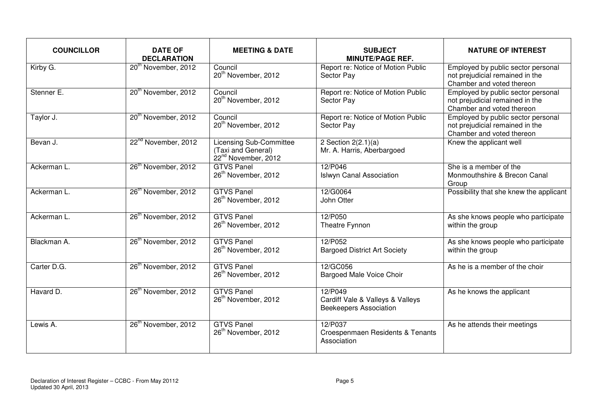| <b>COUNCILLOR</b> | <b>DATE OF</b><br><b>DECLARATION</b> | <b>MEETING &amp; DATE</b>                                                               | <b>SUBJECT</b><br><b>MINUTE/PAGE REF.</b>                                    | <b>NATURE OF INTEREST</b>                                                                          |
|-------------------|--------------------------------------|-----------------------------------------------------------------------------------------|------------------------------------------------------------------------------|----------------------------------------------------------------------------------------------------|
| Kirby G.          | 20 <sup>th</sup> November, 2012      | Council<br>20 <sup>th</sup> November, 2012                                              | Report re: Notice of Motion Public<br>Sector Pay                             | Employed by public sector personal<br>not prejudicial remained in the<br>Chamber and voted thereon |
| Stenner E.        | 20 <sup>th</sup> November, 2012      | Council<br>20 <sup>th</sup> November, 2012                                              | Report re: Notice of Motion Public<br>Sector Pay                             | Employed by public sector personal<br>not prejudicial remained in the<br>Chamber and voted thereon |
| Taylor J.         | 20 <sup>th</sup> November, 2012      | Council<br>20 <sup>th</sup> November, 2012                                              | Report re: Notice of Motion Public<br>Sector Pay                             | Employed by public sector personal<br>not prejudicial remained in the<br>Chamber and voted thereon |
| Bevan J.          | 22 <sup>nd</sup> November, 2012      | <b>Licensing Sub-Committee</b><br>(Taxi and General)<br>22 <sup>nd</sup> November, 2012 | 2 Section 2(2.1)(a)<br>Mr. A. Harris, Aberbargoed                            | Knew the applicant well                                                                            |
| Ackerman L.       | 26 <sup>th</sup> November, 2012      | <b>GTVS Panel</b><br>26 <sup>th</sup> November, 2012                                    | 12/P046<br><b>Islwyn Canal Association</b>                                   | She is a member of the<br>Monmouthshire & Brecon Canal<br>Group                                    |
| Ackerman L.       | 26 <sup>th</sup> November, 2012      | <b>GTVS Panel</b><br>26 <sup>th</sup> November, 2012                                    | 12/G0064<br>John Otter                                                       | Possibility that she knew the applicant                                                            |
| Ackerman L.       | 26 <sup>th</sup> November, 2012      | <b>GTVS Panel</b><br>26 <sup>th</sup> November, 2012                                    | 12/P050<br>Theatre Fynnon                                                    | As she knows people who participate<br>within the group                                            |
| Blackman A.       | 26 <sup>th</sup> November, 2012      | <b>GTVS Panel</b><br>26 <sup>th</sup> November, 2012                                    | 12/P052<br><b>Bargoed District Art Society</b>                               | As she knows people who participate<br>within the group                                            |
| Carter D.G.       | 26 <sup>th</sup> November, 2012      | <b>GTVS Panel</b><br>26 <sup>th</sup> November, 2012                                    | 12/GC056<br>Bargoed Male Voice Choir                                         | As he is a member of the choir                                                                     |
| Havard D.         | 26 <sup>th</sup> November, 2012      | <b>GTVS Panel</b><br>26 <sup>th</sup> November, 2012                                    | 12/P049<br>Cardiff Vale & Valleys & Valleys<br><b>Beekeepers Association</b> | As he knows the applicant                                                                          |
| Lewis A.          | 26 <sup>th</sup> November, 2012      | <b>GTVS Panel</b><br>26 <sup>th</sup> November, 2012                                    | 12/P037<br>Croespenmaen Residents & Tenants<br>Association                   | As he attends their meetings                                                                       |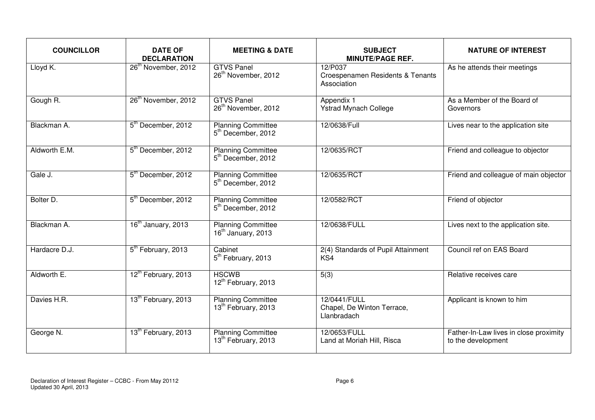| <b>COUNCILLOR</b> | <b>DATE OF</b><br><b>DECLARATION</b> | <b>MEETING &amp; DATE</b>                                    | <b>SUBJECT</b><br><b>MINUTE/PAGE REF.</b>                  | <b>NATURE OF INTEREST</b>                                    |
|-------------------|--------------------------------------|--------------------------------------------------------------|------------------------------------------------------------|--------------------------------------------------------------|
| Lloyd K.          | 26 <sup>th</sup> November, 2012      | <b>GTVS Panel</b><br>26 <sup>th</sup> November, 2012         | 12/P037<br>Croespenamen Residents & Tenants<br>Association | As he attends their meetings                                 |
| Gough R.          | 26 <sup>th</sup> November, 2012      | <b>GTVS Panel</b><br>26 <sup>th</sup> November, 2012         | Appendix 1<br><b>Ystrad Mynach College</b>                 | As a Member of the Board of<br>Governors                     |
| Blackman A.       | 5 <sup>th</sup> December, 2012       | <b>Planning Committee</b><br>5 <sup>th</sup> December, 2012  | 12/0638/Full                                               | Lives near to the application site                           |
| Aldworth E.M.     | 5 <sup>th</sup> December, 2012       | <b>Planning Committee</b><br>5 <sup>th</sup> December, 2012  | 12/0635/RCT                                                | Friend and colleague to objector                             |
| Gale J.           | 5 <sup>th</sup> December, 2012       | <b>Planning Committee</b><br>5 <sup>th</sup> December, 2012  | 12/0635/RCT                                                | Friend and colleague of main objector                        |
| Bolter D.         | 5 <sup>th</sup> December, 2012       | <b>Planning Committee</b><br>5 <sup>th</sup> December, 2012  | 12/0582/RCT                                                | Friend of objector                                           |
| Blackman A.       | 16 <sup>th</sup> January, 2013       | <b>Planning Committee</b><br>$16th$ January, 2013            | 12/0638/FULL                                               | Lives next to the application site.                          |
| Hardacre D.J.     | 5 <sup>th</sup> February, 2013       | Cabinet<br>5 <sup>th</sup> February, 2013                    | 2(4) Standards of Pupil Attainment<br>KS4                  | Council ref on EAS Board                                     |
| Aldworth E.       | 12 <sup>th</sup> February, 2013      | <b>HSCWB</b><br>12 <sup>th</sup> February, 2013              | 5(3)                                                       | Relative receives care                                       |
| Davies H.R.       | 13 <sup>th</sup> February, 2013      | <b>Planning Committee</b><br>13 <sup>th</sup> February, 2013 | 12/0441/FULL<br>Chapel, De Winton Terrace,<br>Llanbradach  | Applicant is known to him                                    |
| George N.         | 13 <sup>th</sup> February, 2013      | <b>Planning Committee</b><br>13 <sup>th</sup> February, 2013 | 12/0653/FULL<br>Land at Moriah Hill, Risca                 | Father-In-Law lives in close proximity<br>to the development |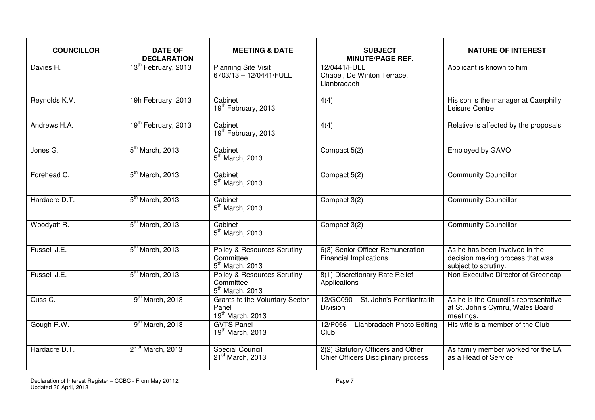| <b>COUNCILLOR</b> | <b>DATE OF</b><br><b>DECLARATION</b> | <b>MEETING &amp; DATE</b>                                                | <b>SUBJECT</b><br><b>MINUTE/PAGE REF.</b>                                | <b>NATURE OF INTEREST</b>                                                                  |
|-------------------|--------------------------------------|--------------------------------------------------------------------------|--------------------------------------------------------------------------|--------------------------------------------------------------------------------------------|
| Davies H.         | 13 <sup>th</sup> February, 2013      | <b>Planning Site Visit</b><br>6703/13 - 12/0441/FULL                     | 12/0441/FULL<br>Chapel, De Winton Terrace,<br>Llanbradach                | Applicant is known to him                                                                  |
| Reynolds K.V.     | 19h February, 2013                   | Cabinet<br>19 <sup>th</sup> February, 2013                               | 4(4)                                                                     | His son is the manager at Caerphilly<br>Leisure Centre                                     |
| Andrews H.A.      | 19 <sup>th</sup> February, 2013      | Cabinet<br>19 <sup>th</sup> February, 2013                               | 4(4)                                                                     | Relative is affected by the proposals                                                      |
| Jones G.          | 5 <sup>th</sup> March, 2013          | Cabinet<br>$5th$ March, 2013                                             | Compact 5(2)                                                             | <b>Employed by GAVO</b>                                                                    |
| Forehead C.       | 5 <sup>th</sup> March, 2013          | Cabinet<br>$5th$ March, 2013                                             | Compact 5(2)                                                             | <b>Community Councillor</b>                                                                |
| Hardacre D.T.     | 5 <sup>th</sup> March, 2013          | Cabinet<br>$5th$ March, 2013                                             | Compact 3(2)                                                             | <b>Community Councillor</b>                                                                |
| Woodyatt R.       | 5 <sup>th</sup> March, 2013          | Cabinet<br>$5th$ March, 2013                                             | Compact 3(2)                                                             | <b>Community Councillor</b>                                                                |
| Fussell J.E.      | 5 <sup>th</sup> March, 2013          | <b>Policy &amp; Resources Scrutiny</b><br>Committee<br>$5th$ March, 2013 | 6(3) Senior Officer Remuneration<br><b>Financial Implications</b>        | As he has been involved in the<br>decision making process that was<br>subject to scrutiny. |
| Fussell J.E.      | 5 <sup>th</sup> March, 2013          | <b>Policy &amp; Resources Scrutiny</b><br>Committee<br>$5th$ March, 2013 | 8(1) Discretionary Rate Relief<br>Applications                           | Non-Executive Director of Greencap                                                         |
| Cuss C.           | 19 <sup>th</sup> March, 2013         | Grants to the Voluntary Sector<br>Panel<br>19 <sup>th</sup> March, 2013  | 12/GC090 - St. John's Pontllanfraith<br><b>Division</b>                  | As he is the Council's representative<br>at St. John's Cymru, Wales Board<br>meetings.     |
| Gough R.W.        | 19 <sup>th</sup> March, 2013         | <b>GVTS Panel</b><br>19 <sup>th</sup> March, 2013                        | 12/P056 - Llanbradach Photo Editing<br>Club                              | His wife is a member of the Club                                                           |
| Hardacre D.T.     | 21 <sup>st</sup> March, 2013         | Special Council<br>$21st$ March, 2013                                    | 2(2) Statutory Officers and Other<br>Chief Officers Disciplinary process | As family member worked for the LA<br>as a Head of Service                                 |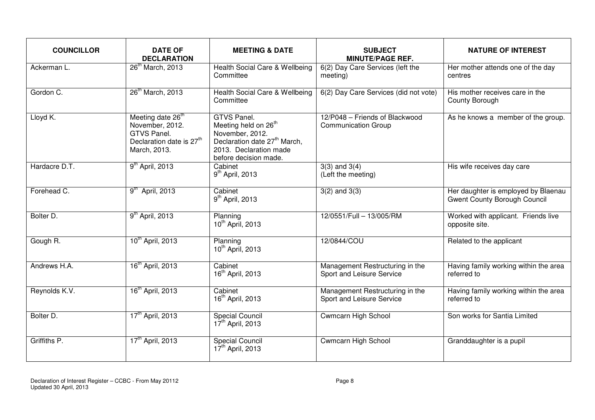| <b>COUNCILLOR</b> | <b>DATE OF</b><br><b>DECLARATION</b>                                                                                    | <b>MEETING &amp; DATE</b>                                                                                                                                         | <b>SUBJECT</b><br><b>MINUTE/PAGE REF.</b>                    | <b>NATURE OF INTEREST</b>                                                  |
|-------------------|-------------------------------------------------------------------------------------------------------------------------|-------------------------------------------------------------------------------------------------------------------------------------------------------------------|--------------------------------------------------------------|----------------------------------------------------------------------------|
| Ackerman L.       | 26 <sup>th</sup> March, 2013                                                                                            | Health Social Care & Wellbeing<br>Committee                                                                                                                       | 6(2) Day Care Services (left the<br>meeting)                 | Her mother attends one of the day<br>centres                               |
| Gordon C.         | 26 <sup>th</sup> March, 2013                                                                                            | Health Social Care & Wellbeing<br>Committee                                                                                                                       | 6(2) Day Care Services (did not vote)                        | His mother receives care in the<br>County Borough                          |
| Lloyd K.          | Meeting date 26 <sup>th</sup><br>November, 2012.<br>GTVS Panel.<br>Declaration date is 27 <sup>th</sup><br>March, 2013. | GTVS Panel.<br>Meeting held on 26 <sup>th</sup><br>November, 2012.<br>Declaration date 27 <sup>th</sup> March,<br>2013. Declaration made<br>before decision made. | 12/P048 - Friends of Blackwood<br><b>Communication Group</b> | As he knows a member of the group.                                         |
| Hardacre D.T.     | 9 <sup>th</sup> April, 2013                                                                                             | Cabinet<br>$9th$ April, 2013                                                                                                                                      | $3(3)$ and $3(4)$<br>(Left the meeting)                      | His wife receives day care                                                 |
| Forehead C.       | 9 <sup>th</sup> April, 2013                                                                                             | Cabinet<br>$9th$ April, 2013                                                                                                                                      | $3(2)$ and $3(3)$                                            | Her daughter is employed by Blaenau<br><b>Gwent County Borough Council</b> |
| Bolter D.         | $9th$ April, 2013                                                                                                       | Planning<br>10 <sup>th</sup> April, 2013                                                                                                                          | 12/0551/Full - 13/005/RM                                     | Worked with applicant. Friends live<br>opposite site.                      |
| Gough R.          | 10 <sup>th</sup> April, 2013                                                                                            | Planning<br>10 <sup>th</sup> April, 2013                                                                                                                          | 12/0844/COU                                                  | Related to the applicant                                                   |
| Andrews H.A.      | 16 <sup>th</sup> April, 2013                                                                                            | Cabinet<br>16 <sup>th</sup> April, 2013                                                                                                                           | Management Restructuring in the<br>Sport and Leisure Service | Having family working within the area<br>referred to                       |
| Reynolds K.V.     | 16 <sup>th</sup> April, 2013                                                                                            | Cabinet<br>16 <sup>th</sup> April, 2013                                                                                                                           | Management Restructuring in the<br>Sport and Leisure Service | Having family working within the area<br>referred to                       |
| Bolter D.         | 17 <sup>th</sup> April, 2013                                                                                            | <b>Special Council</b><br>17 <sup>th</sup> April, 2013                                                                                                            | <b>Cwmcarn High School</b>                                   | Son works for Santia Limited                                               |
| Griffiths P.      | 17 <sup>th</sup> April, 2013                                                                                            | <b>Special Council</b><br>17 <sup>th</sup> April, 2013                                                                                                            | <b>Cwmcarn High School</b>                                   | Granddaughter is a pupil                                                   |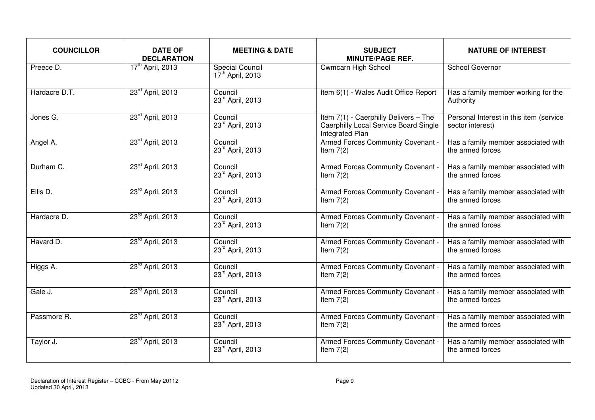| <b>COUNCILLOR</b> | <b>DATE OF</b><br><b>DECLARATION</b> | <b>MEETING &amp; DATE</b>                              | <b>SUBJECT</b><br><b>MINUTE/PAGE REF.</b>                                                                | <b>NATURE OF INTEREST</b>                                   |
|-------------------|--------------------------------------|--------------------------------------------------------|----------------------------------------------------------------------------------------------------------|-------------------------------------------------------------|
| Preece D.         | 17 <sup>th</sup> April, 2013         | <b>Special Council</b><br>17 <sup>th</sup> April, 2013 | Cwmcarn High School                                                                                      | School Governor                                             |
| Hardacre D.T.     | 23 <sup>rd</sup> April, 2013         | Council<br>23rd April, 2013                            | Item 6(1) - Wales Audit Office Report                                                                    | Has a family member working for the<br>Authority            |
| Jones G.          | 23 <sup>rd</sup> April, 2013         | Council<br>23rd April, 2013                            | Item 7(1) - Caerphilly Delivers - The<br><b>Caerphilly Local Service Board Single</b><br>Integrated Plan | Personal Interest in this item (service<br>sector interest) |
| Angel A.          | 23rd April, 2013                     | Council<br>23rd April, 2013                            | Armed Forces Community Covenant -<br>Item $7(2)$                                                         | Has a family member associated with<br>the armed forces     |
| Durham C.         | 23rd April, 2013                     | Council<br>23rd April, 2013                            | Armed Forces Community Covenant -<br>Item $7(2)$                                                         | Has a family member associated with<br>the armed forces     |
| Ellis D.          | 23 <sup>rd</sup> April, 2013         | Council<br>23rd April, 2013                            | Armed Forces Community Covenant -<br>Item $7(2)$                                                         | Has a family member associated with<br>the armed forces     |
| Hardacre D.       | 23rd April, 2013                     | Council<br>23rd April, 2013                            | Armed Forces Community Covenant -<br>Item $7(2)$                                                         | Has a family member associated with<br>the armed forces     |
| Havard D.         | 23 <sup>rd</sup> April, 2013         | Council<br>23rd April, 2013                            | Armed Forces Community Covenant -<br>Item $7(2)$                                                         | Has a family member associated with<br>the armed forces     |
| Higgs A.          | 23rd April, 2013                     | Council<br>23rd April, 2013                            | Armed Forces Community Covenant -<br>Item $7(2)$                                                         | Has a family member associated with<br>the armed forces     |
| Gale J.           | 23 <sup>rd</sup> April, 2013         | Council<br>23rd April, 2013                            | Armed Forces Community Covenant -<br>Item $7(2)$                                                         | Has a family member associated with<br>the armed forces     |
| Passmore R.       | 23rd April, 2013                     | Council<br>23rd April, 2013                            | Armed Forces Community Covenant -<br>Item $7(2)$                                                         | Has a family member associated with<br>the armed forces     |
| Taylor J.         | 23 <sup>rd</sup> April, 2013         | Council<br>23rd April, 2013                            | Armed Forces Community Covenant -<br>Item $7(2)$                                                         | Has a family member associated with<br>the armed forces     |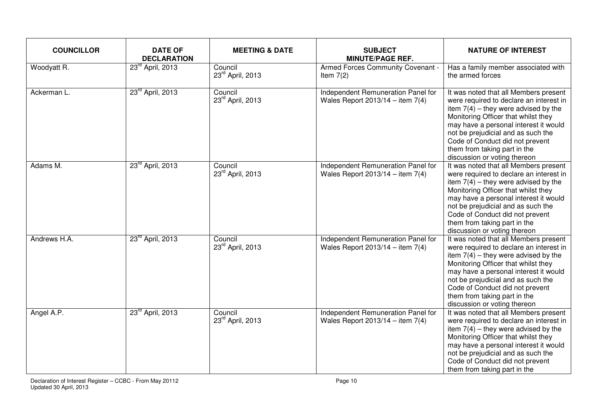| <b>COUNCILLOR</b> | <b>DATE OF</b><br><b>DECLARATION</b> | <b>MEETING &amp; DATE</b>   | <b>SUBJECT</b><br><b>MINUTE/PAGE REF.</b>                                | <b>NATURE OF INTEREST</b>                                                                                                                                                                                                                                                                                                                           |
|-------------------|--------------------------------------|-----------------------------|--------------------------------------------------------------------------|-----------------------------------------------------------------------------------------------------------------------------------------------------------------------------------------------------------------------------------------------------------------------------------------------------------------------------------------------------|
| Woodyatt R.       | 23 <sup>rd</sup> April, 2013         | Council<br>23rd April, 2013 | Armed Forces Community Covenant -<br>Item $7(2)$                         | Has a family member associated with<br>the armed forces                                                                                                                                                                                                                                                                                             |
| Ackerman L.       | 23 <sup>rd</sup> April, 2013         | Council<br>23rd April, 2013 | Independent Remuneration Panel for<br>Wales Report $2013/14 -$ item 7(4) | It was noted that all Members present<br>were required to declare an interest in<br>item $7(4)$ – they were advised by the<br>Monitoring Officer that whilst they<br>may have a personal interest it would<br>not be prejudicial and as such the<br>Code of Conduct did not prevent<br>them from taking part in the<br>discussion or voting thereon |
| Adams M.          | 23 <sup>rd</sup> April, 2013         | Council<br>23rd April, 2013 | Independent Remuneration Panel for<br>Wales Report 2013/14 - item $7(4)$ | It was noted that all Members present<br>were required to declare an interest in<br>item $7(4)$ – they were advised by the<br>Monitoring Officer that whilst they<br>may have a personal interest it would<br>not be prejudicial and as such the<br>Code of Conduct did not prevent<br>them from taking part in the<br>discussion or voting thereon |
| Andrews H.A.      | 23 <sup>rd</sup> April, 2013         | Council<br>23rd April, 2013 | Independent Remuneration Panel for<br>Wales Report $2013/14 -$ item 7(4) | It was noted that all Members present<br>were required to declare an interest in<br>item $7(4)$ – they were advised by the<br>Monitoring Officer that whilst they<br>may have a personal interest it would<br>not be prejudicial and as such the<br>Code of Conduct did not prevent<br>them from taking part in the<br>discussion or voting thereon |
| Angel A.P.        | 23 <sup>rd</sup> April, 2013         | Council<br>23rd April, 2013 | Independent Remuneration Panel for<br>Wales Report $2013/14 -$ item 7(4) | It was noted that all Members present<br>were required to declare an interest in<br>item $7(4)$ – they were advised by the<br>Monitoring Officer that whilst they<br>may have a personal interest it would<br>not be prejudicial and as such the<br>Code of Conduct did not prevent<br>them from taking part in the                                 |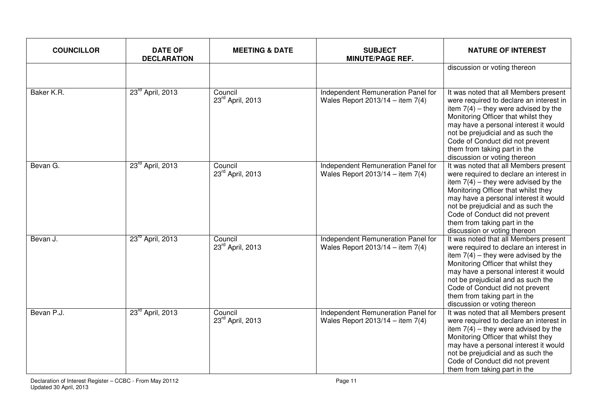| <b>COUNCILLOR</b> | <b>DATE OF</b><br><b>DECLARATION</b> | <b>MEETING &amp; DATE</b>   | <b>SUBJECT</b><br><b>MINUTE/PAGE REF.</b>                                  | <b>NATURE OF INTEREST</b>                                                                                                                                                                                                                                                                                                                           |
|-------------------|--------------------------------------|-----------------------------|----------------------------------------------------------------------------|-----------------------------------------------------------------------------------------------------------------------------------------------------------------------------------------------------------------------------------------------------------------------------------------------------------------------------------------------------|
|                   |                                      |                             |                                                                            | discussion or voting thereon                                                                                                                                                                                                                                                                                                                        |
| Baker K.R.        | 23 <sup>rd</sup> April, 2013         | Council<br>23rd April, 2013 | Independent Remuneration Panel for<br>Wales Report $2013/14 -$ item $7(4)$ | It was noted that all Members present<br>were required to declare an interest in<br>item $7(4)$ – they were advised by the<br>Monitoring Officer that whilst they<br>may have a personal interest it would<br>not be prejudicial and as such the<br>Code of Conduct did not prevent<br>them from taking part in the<br>discussion or voting thereon |
| Bevan G.          | 23 <sup>rd</sup> April, 2013         | Council<br>23rd April, 2013 | Independent Remuneration Panel for<br>Wales Report 2013/14 - item $7(4)$   | It was noted that all Members present<br>were required to declare an interest in<br>item $7(4)$ – they were advised by the<br>Monitoring Officer that whilst they<br>may have a personal interest it would<br>not be prejudicial and as such the<br>Code of Conduct did not prevent<br>them from taking part in the<br>discussion or voting thereon |
| Bevan J.          | 23 <sup>rd</sup> April, 2013         | Council<br>23rd April, 2013 | Independent Remuneration Panel for<br>Wales Report $2013/14 -$ item 7(4)   | It was noted that all Members present<br>were required to declare an interest in<br>item $7(4)$ – they were advised by the<br>Monitoring Officer that whilst they<br>may have a personal interest it would<br>not be prejudicial and as such the<br>Code of Conduct did not prevent<br>them from taking part in the<br>discussion or voting thereon |
| Bevan P.J.        | 23 <sup>rd</sup> April, 2013         | Council<br>23rd April, 2013 | Independent Remuneration Panel for<br>Wales Report $2013/14 -$ item 7(4)   | It was noted that all Members present<br>were required to declare an interest in<br>item $7(4)$ – they were advised by the<br>Monitoring Officer that whilst they<br>may have a personal interest it would<br>not be prejudicial and as such the<br>Code of Conduct did not prevent<br>them from taking part in the                                 |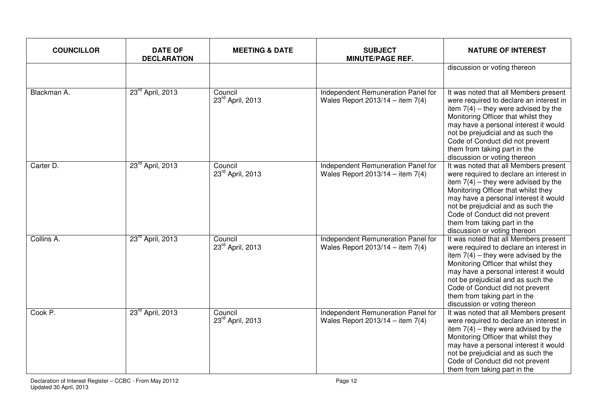| <b>COUNCILLOR</b> | <b>DATE OF</b><br><b>DECLARATION</b> | <b>MEETING &amp; DATE</b>   | <b>SUBJECT</b><br><b>MINUTE/PAGE REF.</b>                                  | <b>NATURE OF INTEREST</b>                                                                                                                                                                                                                                                                                                                           |
|-------------------|--------------------------------------|-----------------------------|----------------------------------------------------------------------------|-----------------------------------------------------------------------------------------------------------------------------------------------------------------------------------------------------------------------------------------------------------------------------------------------------------------------------------------------------|
|                   |                                      |                             |                                                                            | discussion or voting thereon                                                                                                                                                                                                                                                                                                                        |
| Blackman A.       | 23 <sup>rd</sup> April, 2013         | Council<br>23rd April, 2013 | Independent Remuneration Panel for<br>Wales Report $2013/14 -$ item $7(4)$ | It was noted that all Members present<br>were required to declare an interest in<br>item $7(4)$ – they were advised by the<br>Monitoring Officer that whilst they<br>may have a personal interest it would<br>not be prejudicial and as such the<br>Code of Conduct did not prevent<br>them from taking part in the<br>discussion or voting thereon |
| Carter D.         | 23rd April, 2013                     | Council<br>23rd April, 2013 | Independent Remuneration Panel for<br>Wales Report 2013/14 - item $7(4)$   | It was noted that all Members present<br>were required to declare an interest in<br>item $7(4)$ – they were advised by the<br>Monitoring Officer that whilst they<br>may have a personal interest it would<br>not be prejudicial and as such the<br>Code of Conduct did not prevent<br>them from taking part in the<br>discussion or voting thereon |
| Collins A.        | 23 <sup>rd</sup> April, 2013         | Council<br>23rd April, 2013 | Independent Remuneration Panel for<br>Wales Report $2013/14 -$ item $7(4)$ | It was noted that all Members present<br>were required to declare an interest in<br>item $7(4)$ – they were advised by the<br>Monitoring Officer that whilst they<br>may have a personal interest it would<br>not be prejudicial and as such the<br>Code of Conduct did not prevent<br>them from taking part in the<br>discussion or voting thereon |
| Cook P.           | 23 <sup>rd</sup> April, 2013         | Council<br>23rd April, 2013 | Independent Remuneration Panel for<br>Wales Report $2013/14 -$ item 7(4)   | It was noted that all Members present<br>were required to declare an interest in<br>item $7(4)$ – they were advised by the<br>Monitoring Officer that whilst they<br>may have a personal interest it would<br>not be prejudicial and as such the<br>Code of Conduct did not prevent<br>them from taking part in the                                 |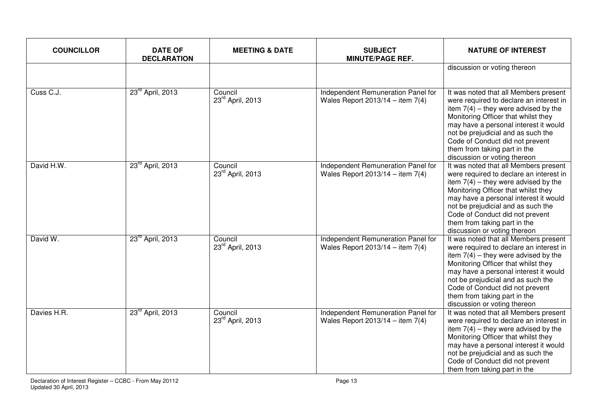| <b>COUNCILLOR</b> | <b>DATE OF</b><br><b>DECLARATION</b> | <b>MEETING &amp; DATE</b>               | <b>SUBJECT</b><br><b>MINUTE/PAGE REF.</b>                                | <b>NATURE OF INTEREST</b>                                                                                                                                                                                                                                                                                                                           |
|-------------------|--------------------------------------|-----------------------------------------|--------------------------------------------------------------------------|-----------------------------------------------------------------------------------------------------------------------------------------------------------------------------------------------------------------------------------------------------------------------------------------------------------------------------------------------------|
|                   |                                      |                                         |                                                                          | discussion or voting thereon                                                                                                                                                                                                                                                                                                                        |
| Cuss C.J.         | 23 <sup>rd</sup> April, 2013         | Council<br>23rd April, 2013             | Independent Remuneration Panel for<br>Wales Report $2013/14 -$ item 7(4) | It was noted that all Members present<br>were required to declare an interest in<br>item $7(4)$ – they were advised by the<br>Monitoring Officer that whilst they<br>may have a personal interest it would<br>not be prejudicial and as such the<br>Code of Conduct did not prevent<br>them from taking part in the<br>discussion or voting thereon |
| David H.W.        | 23 <sup>rd</sup> April, 2013         | Council<br>23rd April, 2013             | Independent Remuneration Panel for<br>Wales Report 2013/14 - item $7(4)$ | It was noted that all Members present<br>were required to declare an interest in<br>item $7(4)$ – they were advised by the<br>Monitoring Officer that whilst they<br>may have a personal interest it would<br>not be prejudicial and as such the<br>Code of Conduct did not prevent<br>them from taking part in the<br>discussion or voting thereon |
| David W.          | 23 <sup>rd</sup> April, 2013         | Council<br>23 <sup>rd</sup> April, 2013 | Independent Remuneration Panel for<br>Wales Report $2013/14 -$ item 7(4) | It was noted that all Members present<br>were required to declare an interest in<br>item $7(4)$ – they were advised by the<br>Monitoring Officer that whilst they<br>may have a personal interest it would<br>not be prejudicial and as such the<br>Code of Conduct did not prevent<br>them from taking part in the<br>discussion or voting thereon |
| Davies H.R.       | 23rd April, 2013                     | Council<br>23rd April, 2013             | Independent Remuneration Panel for<br>Wales Report $2013/14 -$ item 7(4) | It was noted that all Members present<br>were required to declare an interest in<br>item $7(4)$ – they were advised by the<br>Monitoring Officer that whilst they<br>may have a personal interest it would<br>not be prejudicial and as such the<br>Code of Conduct did not prevent<br>them from taking part in the                                 |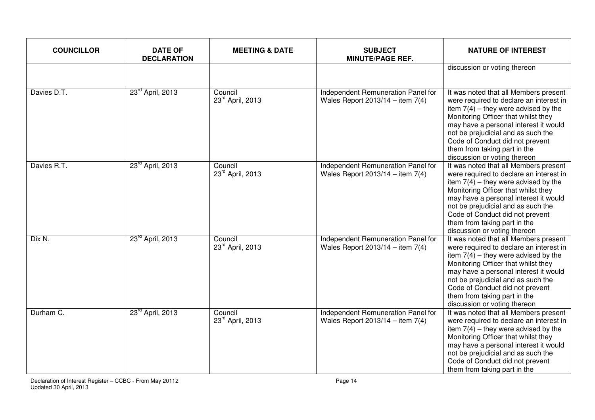| <b>COUNCILLOR</b> | <b>DATE OF</b><br><b>DECLARATION</b> | <b>MEETING &amp; DATE</b>   | <b>SUBJECT</b><br><b>MINUTE/PAGE REF.</b>                                | <b>NATURE OF INTEREST</b>                                                                                                                                                                                                                                                                                                                           |
|-------------------|--------------------------------------|-----------------------------|--------------------------------------------------------------------------|-----------------------------------------------------------------------------------------------------------------------------------------------------------------------------------------------------------------------------------------------------------------------------------------------------------------------------------------------------|
|                   |                                      |                             |                                                                          | discussion or voting thereon                                                                                                                                                                                                                                                                                                                        |
| Davies D.T.       | 23 <sup>rd</sup> April, 2013         | Council<br>23rd April, 2013 | Independent Remuneration Panel for<br>Wales Report $2013/14 -$ item 7(4) | It was noted that all Members present<br>were required to declare an interest in<br>item $7(4)$ – they were advised by the<br>Monitoring Officer that whilst they<br>may have a personal interest it would<br>not be prejudicial and as such the<br>Code of Conduct did not prevent<br>them from taking part in the<br>discussion or voting thereon |
| Davies R.T.       | 23rd April, 2013                     | Council<br>23rd April, 2013 | Independent Remuneration Panel for<br>Wales Report 2013/14 - item $7(4)$ | It was noted that all Members present<br>were required to declare an interest in<br>item $7(4)$ – they were advised by the<br>Monitoring Officer that whilst they<br>may have a personal interest it would<br>not be prejudicial and as such the<br>Code of Conduct did not prevent<br>them from taking part in the<br>discussion or voting thereon |
| Dix N.            | 23 <sup>rd</sup> April, 2013         | Council<br>23rd April, 2013 | Independent Remuneration Panel for<br>Wales Report $2013/14 -$ item 7(4) | It was noted that all Members present<br>were required to declare an interest in<br>item $7(4)$ – they were advised by the<br>Monitoring Officer that whilst they<br>may have a personal interest it would<br>not be prejudicial and as such the<br>Code of Conduct did not prevent<br>them from taking part in the<br>discussion or voting thereon |
| Durham C.         | 23rd April, 2013                     | Council<br>23rd April, 2013 | Independent Remuneration Panel for<br>Wales Report $2013/14 -$ item 7(4) | It was noted that all Members present<br>were required to declare an interest in<br>item $7(4)$ – they were advised by the<br>Monitoring Officer that whilst they<br>may have a personal interest it would<br>not be prejudicial and as such the<br>Code of Conduct did not prevent<br>them from taking part in the                                 |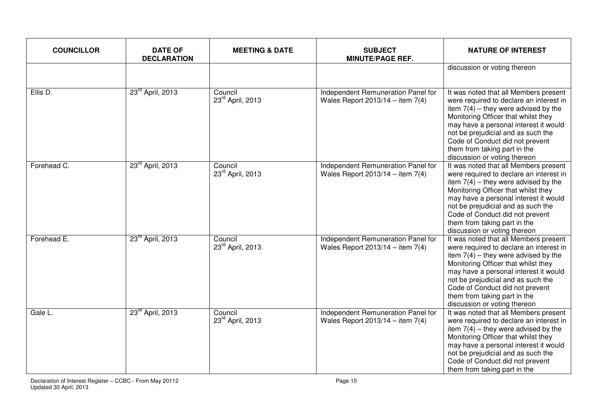| <b>COUNCILLOR</b> | <b>DATE OF</b><br><b>DECLARATION</b> | <b>MEETING &amp; DATE</b>   | <b>SUBJECT</b><br><b>MINUTE/PAGE REF.</b>                                  | <b>NATURE OF INTEREST</b>                                                                                                                                                                                                                                                                                                                           |
|-------------------|--------------------------------------|-----------------------------|----------------------------------------------------------------------------|-----------------------------------------------------------------------------------------------------------------------------------------------------------------------------------------------------------------------------------------------------------------------------------------------------------------------------------------------------|
|                   |                                      |                             |                                                                            | discussion or voting thereon                                                                                                                                                                                                                                                                                                                        |
| Ellis D.          | 23 <sup>rd</sup> April, 2013         | Council<br>23rd April, 2013 | Independent Remuneration Panel for<br>Wales Report $2013/14 -$ item $7(4)$ | It was noted that all Members present<br>were required to declare an interest in<br>item $7(4)$ – they were advised by the<br>Monitoring Officer that whilst they<br>may have a personal interest it would<br>not be prejudicial and as such the<br>Code of Conduct did not prevent<br>them from taking part in the<br>discussion or voting thereon |
| Forehead C.       | 23 <sup>rd</sup> April, 2013         | Council<br>23rd April, 2013 | Independent Remuneration Panel for<br>Wales Report 2013/14 - item $7(4)$   | It was noted that all Members present<br>were required to declare an interest in<br>item $7(4)$ – they were advised by the<br>Monitoring Officer that whilst they<br>may have a personal interest it would<br>not be prejudicial and as such the<br>Code of Conduct did not prevent<br>them from taking part in the<br>discussion or voting thereon |
| Forehead E.       | 23 <sup>rd</sup> April, 2013         | Council<br>23rd April, 2013 | Independent Remuneration Panel for<br>Wales Report $2013/14 -$ item 7(4)   | It was noted that all Members present<br>were required to declare an interest in<br>item $7(4)$ – they were advised by the<br>Monitoring Officer that whilst they<br>may have a personal interest it would<br>not be prejudicial and as such the<br>Code of Conduct did not prevent<br>them from taking part in the<br>discussion or voting thereon |
| Gale L.           | 23rd April, 2013                     | Council<br>23rd April, 2013 | Independent Remuneration Panel for<br>Wales Report $2013/14 -$ item 7(4)   | It was noted that all Members present<br>were required to declare an interest in<br>item $7(4)$ – they were advised by the<br>Monitoring Officer that whilst they<br>may have a personal interest it would<br>not be prejudicial and as such the<br>Code of Conduct did not prevent<br>them from taking part in the                                 |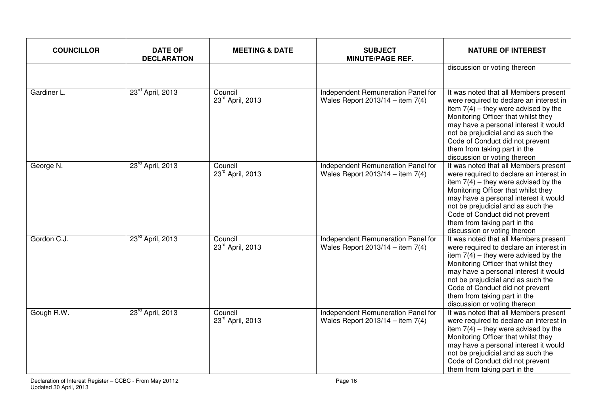| <b>COUNCILLOR</b> | <b>DATE OF</b><br><b>DECLARATION</b> | <b>MEETING &amp; DATE</b>   | <b>SUBJECT</b><br><b>MINUTE/PAGE REF.</b>                                | <b>NATURE OF INTEREST</b>                                                                                                                                                                                                                                                                                                                           |
|-------------------|--------------------------------------|-----------------------------|--------------------------------------------------------------------------|-----------------------------------------------------------------------------------------------------------------------------------------------------------------------------------------------------------------------------------------------------------------------------------------------------------------------------------------------------|
|                   |                                      |                             |                                                                          | discussion or voting thereon                                                                                                                                                                                                                                                                                                                        |
| Gardiner L.       | 23 <sup>rd</sup> April, 2013         | Council<br>23rd April, 2013 | Independent Remuneration Panel for<br>Wales Report $2013/14 -$ item 7(4) | It was noted that all Members present<br>were required to declare an interest in<br>item $7(4)$ – they were advised by the<br>Monitoring Officer that whilst they<br>may have a personal interest it would<br>not be prejudicial and as such the<br>Code of Conduct did not prevent<br>them from taking part in the<br>discussion or voting thereon |
| George N.         | 23rd April, 2013                     | Council<br>23rd April, 2013 | Independent Remuneration Panel for<br>Wales Report 2013/14 - item $7(4)$ | It was noted that all Members present<br>were required to declare an interest in<br>item $7(4)$ – they were advised by the<br>Monitoring Officer that whilst they<br>may have a personal interest it would<br>not be prejudicial and as such the<br>Code of Conduct did not prevent<br>them from taking part in the<br>discussion or voting thereon |
| Gordon C.J.       | 23 <sup>rd</sup> April, 2013         | Council<br>23rd April, 2013 | Independent Remuneration Panel for<br>Wales Report $2013/14 -$ item 7(4) | It was noted that all Members present<br>were required to declare an interest in<br>item $7(4)$ – they were advised by the<br>Monitoring Officer that whilst they<br>may have a personal interest it would<br>not be prejudicial and as such the<br>Code of Conduct did not prevent<br>them from taking part in the<br>discussion or voting thereon |
| Gough R.W.        | 23rd April, 2013                     | Council<br>23rd April, 2013 | Independent Remuneration Panel for<br>Wales Report $2013/14 -$ item 7(4) | It was noted that all Members present<br>were required to declare an interest in<br>item $7(4)$ – they were advised by the<br>Monitoring Officer that whilst they<br>may have a personal interest it would<br>not be prejudicial and as such the<br>Code of Conduct did not prevent<br>them from taking part in the                                 |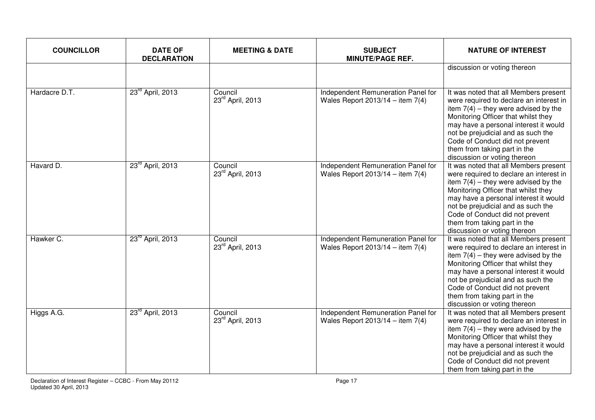| <b>COUNCILLOR</b> | <b>DATE OF</b><br><b>DECLARATION</b> | <b>MEETING &amp; DATE</b>   | <b>SUBJECT</b><br><b>MINUTE/PAGE REF.</b>                                  | <b>NATURE OF INTEREST</b>                                                                                                                                                                                                                                                                                                                           |
|-------------------|--------------------------------------|-----------------------------|----------------------------------------------------------------------------|-----------------------------------------------------------------------------------------------------------------------------------------------------------------------------------------------------------------------------------------------------------------------------------------------------------------------------------------------------|
|                   |                                      |                             |                                                                            | discussion or voting thereon                                                                                                                                                                                                                                                                                                                        |
| Hardacre D.T.     | 23 <sup>rd</sup> April, 2013         | Council<br>23rd April, 2013 | Independent Remuneration Panel for<br>Wales Report $2013/14 -$ item $7(4)$ | It was noted that all Members present<br>were required to declare an interest in<br>item $7(4)$ – they were advised by the<br>Monitoring Officer that whilst they<br>may have a personal interest it would<br>not be prejudicial and as such the<br>Code of Conduct did not prevent<br>them from taking part in the<br>discussion or voting thereon |
| Havard D.         | 23 <sup>rd</sup> April, 2013         | Council<br>23rd April, 2013 | Independent Remuneration Panel for<br>Wales Report 2013/14 - item $7(4)$   | It was noted that all Members present<br>were required to declare an interest in<br>item $7(4)$ – they were advised by the<br>Monitoring Officer that whilst they<br>may have a personal interest it would<br>not be prejudicial and as such the<br>Code of Conduct did not prevent<br>them from taking part in the<br>discussion or voting thereon |
| Hawker C.         | 23 <sup>rd</sup> April, 2013         | Council<br>23rd April, 2013 | Independent Remuneration Panel for<br>Wales Report $2013/14 -$ item 7(4)   | It was noted that all Members present<br>were required to declare an interest in<br>item $7(4)$ – they were advised by the<br>Monitoring Officer that whilst they<br>may have a personal interest it would<br>not be prejudicial and as such the<br>Code of Conduct did not prevent<br>them from taking part in the<br>discussion or voting thereon |
| Higgs A.G.        | 23 <sup>rd</sup> April, 2013         | Council<br>23rd April, 2013 | Independent Remuneration Panel for<br>Wales Report $2013/14 -$ item 7(4)   | It was noted that all Members present<br>were required to declare an interest in<br>item $7(4)$ – they were advised by the<br>Monitoring Officer that whilst they<br>may have a personal interest it would<br>not be prejudicial and as such the<br>Code of Conduct did not prevent<br>them from taking part in the                                 |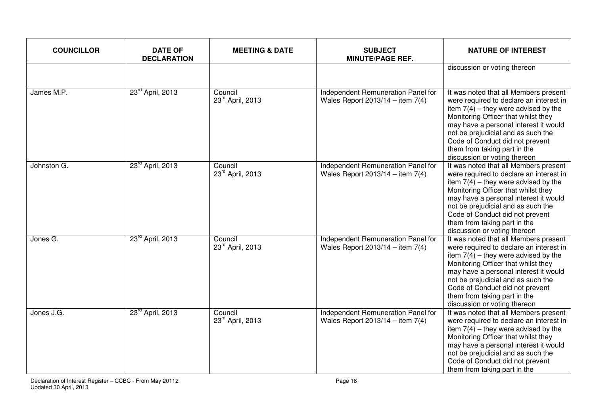| <b>COUNCILLOR</b> | <b>DATE OF</b><br><b>DECLARATION</b> | <b>MEETING &amp; DATE</b>   | <b>SUBJECT</b><br><b>MINUTE/PAGE REF.</b>                                  | <b>NATURE OF INTEREST</b>                                                                                                                                                                                                                                                                                                                           |
|-------------------|--------------------------------------|-----------------------------|----------------------------------------------------------------------------|-----------------------------------------------------------------------------------------------------------------------------------------------------------------------------------------------------------------------------------------------------------------------------------------------------------------------------------------------------|
|                   |                                      |                             |                                                                            | discussion or voting thereon                                                                                                                                                                                                                                                                                                                        |
| James M.P.        | 23 <sup>rd</sup> April, 2013         | Council<br>23rd April, 2013 | Independent Remuneration Panel for<br>Wales Report $2013/14 -$ item $7(4)$ | It was noted that all Members present<br>were required to declare an interest in<br>item $7(4)$ – they were advised by the<br>Monitoring Officer that whilst they<br>may have a personal interest it would<br>not be prejudicial and as such the<br>Code of Conduct did not prevent<br>them from taking part in the<br>discussion or voting thereon |
| Johnston G.       | 23 <sup>rd</sup> April, 2013         | Council<br>23rd April, 2013 | Independent Remuneration Panel for<br>Wales Report 2013/14 - item $7(4)$   | It was noted that all Members present<br>were required to declare an interest in<br>item $7(4)$ – they were advised by the<br>Monitoring Officer that whilst they<br>may have a personal interest it would<br>not be prejudicial and as such the<br>Code of Conduct did not prevent<br>them from taking part in the<br>discussion or voting thereon |
| Jones G.          | 23 <sup>rd</sup> April, 2013         | Council<br>23rd April, 2013 | Independent Remuneration Panel for<br>Wales Report $2013/14 -$ item 7(4)   | It was noted that all Members present<br>were required to declare an interest in<br>item $7(4)$ – they were advised by the<br>Monitoring Officer that whilst they<br>may have a personal interest it would<br>not be prejudicial and as such the<br>Code of Conduct did not prevent<br>them from taking part in the<br>discussion or voting thereon |
| Jones J.G.        | 23 <sup>rd</sup> April, 2013         | Council<br>23rd April, 2013 | Independent Remuneration Panel for<br>Wales Report $2013/14 -$ item 7(4)   | It was noted that all Members present<br>were required to declare an interest in<br>item $7(4)$ – they were advised by the<br>Monitoring Officer that whilst they<br>may have a personal interest it would<br>not be prejudicial and as such the<br>Code of Conduct did not prevent<br>them from taking part in the                                 |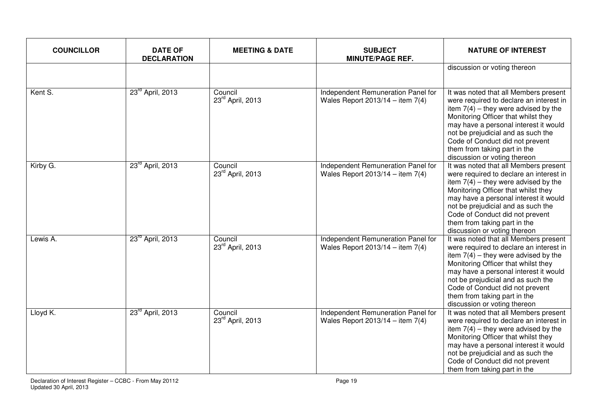| <b>COUNCILLOR</b>      | <b>DATE OF</b><br><b>DECLARATION</b> | <b>MEETING &amp; DATE</b>   | <b>SUBJECT</b><br><b>MINUTE/PAGE REF.</b>                                  | <b>NATURE OF INTEREST</b>                                                                                                                                                                                                                                                                                                                           |
|------------------------|--------------------------------------|-----------------------------|----------------------------------------------------------------------------|-----------------------------------------------------------------------------------------------------------------------------------------------------------------------------------------------------------------------------------------------------------------------------------------------------------------------------------------------------|
|                        |                                      |                             |                                                                            | discussion or voting thereon                                                                                                                                                                                                                                                                                                                        |
| Kent S.                | 23 <sup>rd</sup> April, 2013         | Council<br>23rd April, 2013 | Independent Remuneration Panel for<br>Wales Report $2013/14 -$ item $7(4)$ | It was noted that all Members present<br>were required to declare an interest in<br>item $7(4)$ – they were advised by the<br>Monitoring Officer that whilst they<br>may have a personal interest it would<br>not be prejudicial and as such the<br>Code of Conduct did not prevent<br>them from taking part in the<br>discussion or voting thereon |
| Kirby $\overline{G}$ . | 23rd April, 2013                     | Council<br>23rd April, 2013 | Independent Remuneration Panel for<br>Wales Report 2013/14 - item $7(4)$   | It was noted that all Members present<br>were required to declare an interest in<br>item $7(4)$ – they were advised by the<br>Monitoring Officer that whilst they<br>may have a personal interest it would<br>not be prejudicial and as such the<br>Code of Conduct did not prevent<br>them from taking part in the<br>discussion or voting thereon |
| Lewis A.               | 23rd April, 2013                     | Council<br>23rd April, 2013 | Independent Remuneration Panel for<br>Wales Report $2013/14 -$ item $7(4)$ | It was noted that all Members present<br>were required to declare an interest in<br>item $7(4)$ – they were advised by the<br>Monitoring Officer that whilst they<br>may have a personal interest it would<br>not be prejudicial and as such the<br>Code of Conduct did not prevent<br>them from taking part in the<br>discussion or voting thereon |
| Lloyd K.               | 23 <sup>rd</sup> April, 2013         | Council<br>23rd April, 2013 | Independent Remuneration Panel for<br>Wales Report $2013/14 -$ item 7(4)   | It was noted that all Members present<br>were required to declare an interest in<br>item $7(4)$ – they were advised by the<br>Monitoring Officer that whilst they<br>may have a personal interest it would<br>not be prejudicial and as such the<br>Code of Conduct did not prevent<br>them from taking part in the                                 |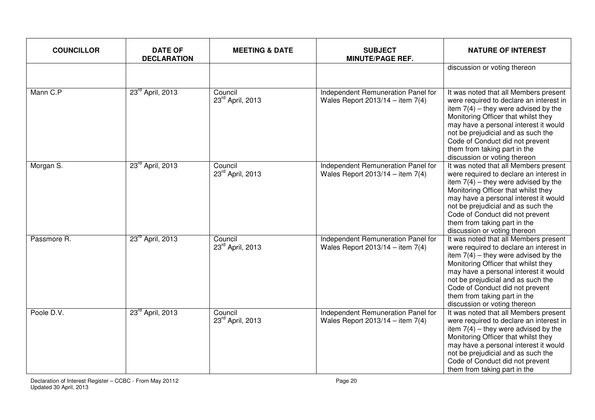| <b>COUNCILLOR</b> | <b>DATE OF</b><br><b>DECLARATION</b> | <b>MEETING &amp; DATE</b>   | <b>SUBJECT</b><br><b>MINUTE/PAGE REF.</b>                                  | <b>NATURE OF INTEREST</b>                                                                                                                                                                                                                                                                                                                           |
|-------------------|--------------------------------------|-----------------------------|----------------------------------------------------------------------------|-----------------------------------------------------------------------------------------------------------------------------------------------------------------------------------------------------------------------------------------------------------------------------------------------------------------------------------------------------|
|                   |                                      |                             |                                                                            | discussion or voting thereon                                                                                                                                                                                                                                                                                                                        |
| Mann C.P          | 23 <sup>rd</sup> April, 2013         | Council<br>23rd April, 2013 | Independent Remuneration Panel for<br>Wales Report $2013/14 -$ item $7(4)$ | It was noted that all Members present<br>were required to declare an interest in<br>item $7(4)$ – they were advised by the<br>Monitoring Officer that whilst they<br>may have a personal interest it would<br>not be prejudicial and as such the<br>Code of Conduct did not prevent<br>them from taking part in the<br>discussion or voting thereon |
| Morgan S.         | 23 <sup>rd</sup> April, 2013         | Council<br>23rd April, 2013 | Independent Remuneration Panel for<br>Wales Report 2013/14 - item $7(4)$   | It was noted that all Members present<br>were required to declare an interest in<br>item $7(4)$ – they were advised by the<br>Monitoring Officer that whilst they<br>may have a personal interest it would<br>not be prejudicial and as such the<br>Code of Conduct did not prevent<br>them from taking part in the<br>discussion or voting thereon |
| Passmore R.       | 23 <sup>rd</sup> April, 2013         | Council<br>23rd April, 2013 | Independent Remuneration Panel for<br>Wales Report $2013/14 -$ item 7(4)   | It was noted that all Members present<br>were required to declare an interest in<br>item $7(4)$ – they were advised by the<br>Monitoring Officer that whilst they<br>may have a personal interest it would<br>not be prejudicial and as such the<br>Code of Conduct did not prevent<br>them from taking part in the<br>discussion or voting thereon |
| Poole D.V.        | 23rd April, 2013                     | Council<br>23rd April, 2013 | Independent Remuneration Panel for<br>Wales Report $2013/14 -$ item 7(4)   | It was noted that all Members present<br>were required to declare an interest in<br>item $7(4)$ – they were advised by the<br>Monitoring Officer that whilst they<br>may have a personal interest it would<br>not be prejudicial and as such the<br>Code of Conduct did not prevent<br>them from taking part in the                                 |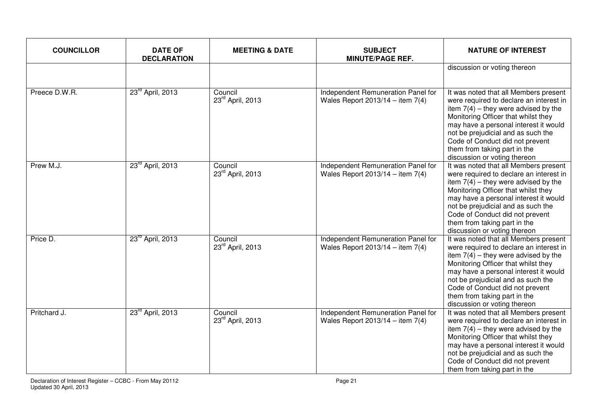| <b>COUNCILLOR</b> | <b>DATE OF</b><br><b>DECLARATION</b> | <b>MEETING &amp; DATE</b>   | <b>SUBJECT</b><br><b>MINUTE/PAGE REF.</b>                                  | <b>NATURE OF INTEREST</b>                                                                                                                                                                                                                                                                                                                           |
|-------------------|--------------------------------------|-----------------------------|----------------------------------------------------------------------------|-----------------------------------------------------------------------------------------------------------------------------------------------------------------------------------------------------------------------------------------------------------------------------------------------------------------------------------------------------|
|                   |                                      |                             |                                                                            | discussion or voting thereon                                                                                                                                                                                                                                                                                                                        |
| Preece D.W.R.     | 23 <sup>rd</sup> April, 2013         | Council<br>23rd April, 2013 | Independent Remuneration Panel for<br>Wales Report $2013/14 -$ item $7(4)$ | It was noted that all Members present<br>were required to declare an interest in<br>item $7(4)$ – they were advised by the<br>Monitoring Officer that whilst they<br>may have a personal interest it would<br>not be prejudicial and as such the<br>Code of Conduct did not prevent<br>them from taking part in the<br>discussion or voting thereon |
| Prew M.J.         | 23rd April, 2013                     | Council<br>23rd April, 2013 | Independent Remuneration Panel for<br>Wales Report 2013/14 - item $7(4)$   | It was noted that all Members present<br>were required to declare an interest in<br>item $7(4)$ – they were advised by the<br>Monitoring Officer that whilst they<br>may have a personal interest it would<br>not be prejudicial and as such the<br>Code of Conduct did not prevent<br>them from taking part in the<br>discussion or voting thereon |
| Price D.          | 23 <sup>rd</sup> April, 2013         | Council<br>23rd April, 2013 | Independent Remuneration Panel for<br>Wales Report $2013/14 -$ item $7(4)$ | It was noted that all Members present<br>were required to declare an interest in<br>item $7(4)$ – they were advised by the<br>Monitoring Officer that whilst they<br>may have a personal interest it would<br>not be prejudicial and as such the<br>Code of Conduct did not prevent<br>them from taking part in the<br>discussion or voting thereon |
| Pritchard J.      | 23 <sup>rd</sup> April, 2013         | Council<br>23rd April, 2013 | Independent Remuneration Panel for<br>Wales Report $2013/14 -$ item 7(4)   | It was noted that all Members present<br>were required to declare an interest in<br>item $7(4)$ – they were advised by the<br>Monitoring Officer that whilst they<br>may have a personal interest it would<br>not be prejudicial and as such the<br>Code of Conduct did not prevent<br>them from taking part in the                                 |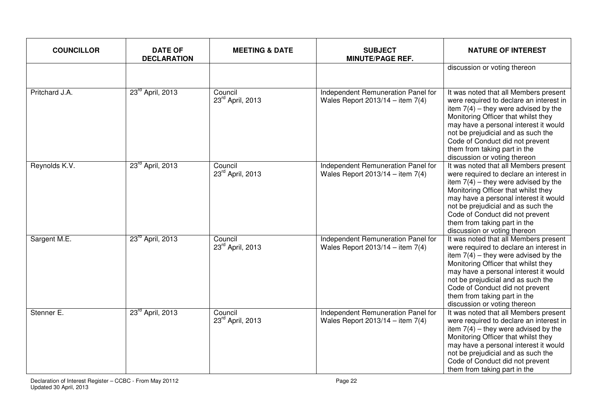| <b>COUNCILLOR</b> | <b>DATE OF</b><br><b>DECLARATION</b> | <b>MEETING &amp; DATE</b>               | <b>SUBJECT</b><br><b>MINUTE/PAGE REF.</b>                                | <b>NATURE OF INTEREST</b>                                                                                                                                                                                                                                                                                                                           |
|-------------------|--------------------------------------|-----------------------------------------|--------------------------------------------------------------------------|-----------------------------------------------------------------------------------------------------------------------------------------------------------------------------------------------------------------------------------------------------------------------------------------------------------------------------------------------------|
|                   |                                      |                                         |                                                                          | discussion or voting thereon                                                                                                                                                                                                                                                                                                                        |
| Pritchard J.A.    | 23 <sup>rd</sup> April, 2013         | Council<br>23rd April, 2013             | Independent Remuneration Panel for<br>Wales Report $2013/14 -$ item 7(4) | It was noted that all Members present<br>were required to declare an interest in<br>item $7(4)$ – they were advised by the<br>Monitoring Officer that whilst they<br>may have a personal interest it would<br>not be prejudicial and as such the<br>Code of Conduct did not prevent<br>them from taking part in the<br>discussion or voting thereon |
| Reynolds K.V.     | 23 <sup>rd</sup> April, 2013         | Council<br>23rd April, 2013             | Independent Remuneration Panel for<br>Wales Report 2013/14 - item $7(4)$ | It was noted that all Members present<br>were required to declare an interest in<br>item $7(4)$ – they were advised by the<br>Monitoring Officer that whilst they<br>may have a personal interest it would<br>not be prejudicial and as such the<br>Code of Conduct did not prevent<br>them from taking part in the<br>discussion or voting thereon |
| Sargent M.E.      | 23 <sup>rd</sup> April, 2013         | Council<br>23 <sup>rd</sup> April, 2013 | Independent Remuneration Panel for<br>Wales Report $2013/14 -$ item 7(4) | It was noted that all Members present<br>were required to declare an interest in<br>item $7(4)$ – they were advised by the<br>Monitoring Officer that whilst they<br>may have a personal interest it would<br>not be prejudicial and as such the<br>Code of Conduct did not prevent<br>them from taking part in the<br>discussion or voting thereon |
| Stenner E.        | 23rd April, 2013                     | Council<br>23rd April, 2013             | Independent Remuneration Panel for<br>Wales Report $2013/14 -$ item 7(4) | It was noted that all Members present<br>were required to declare an interest in<br>item $7(4)$ – they were advised by the<br>Monitoring Officer that whilst they<br>may have a personal interest it would<br>not be prejudicial and as such the<br>Code of Conduct did not prevent<br>them from taking part in the                                 |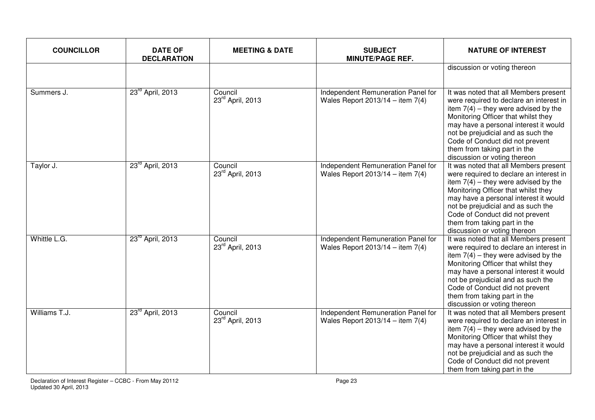| <b>COUNCILLOR</b> | <b>DATE OF</b><br><b>DECLARATION</b> | <b>MEETING &amp; DATE</b>   | <b>SUBJECT</b><br><b>MINUTE/PAGE REF.</b>                                  | <b>NATURE OF INTEREST</b>                                                                                                                                                                                                                                                                                                                           |
|-------------------|--------------------------------------|-----------------------------|----------------------------------------------------------------------------|-----------------------------------------------------------------------------------------------------------------------------------------------------------------------------------------------------------------------------------------------------------------------------------------------------------------------------------------------------|
|                   |                                      |                             |                                                                            | discussion or voting thereon                                                                                                                                                                                                                                                                                                                        |
| Summers J.        | 23 <sup>rd</sup> April, 2013         | Council<br>23rd April, 2013 | Independent Remuneration Panel for<br>Wales Report $2013/14 -$ item $7(4)$ | It was noted that all Members present<br>were required to declare an interest in<br>item $7(4)$ – they were advised by the<br>Monitoring Officer that whilst they<br>may have a personal interest it would<br>not be prejudicial and as such the<br>Code of Conduct did not prevent<br>them from taking part in the<br>discussion or voting thereon |
| Taylor J.         | 23rd April, 2013                     | Council<br>23rd April, 2013 | Independent Remuneration Panel for<br>Wales Report 2013/14 - item $7(4)$   | It was noted that all Members present<br>were required to declare an interest in<br>item $7(4)$ – they were advised by the<br>Monitoring Officer that whilst they<br>may have a personal interest it would<br>not be prejudicial and as such the<br>Code of Conduct did not prevent<br>them from taking part in the<br>discussion or voting thereon |
| Whittle L.G.      | 23 <sup>rd</sup> April, 2013         | Council<br>23rd April, 2013 | Independent Remuneration Panel for<br>Wales Report $2013/14 -$ item $7(4)$ | It was noted that all Members present<br>were required to declare an interest in<br>item $7(4)$ – they were advised by the<br>Monitoring Officer that whilst they<br>may have a personal interest it would<br>not be prejudicial and as such the<br>Code of Conduct did not prevent<br>them from taking part in the<br>discussion or voting thereon |
| Williams T.J.     | 23 <sup>rd</sup> April, 2013         | Council<br>23rd April, 2013 | Independent Remuneration Panel for<br>Wales Report $2013/14 -$ item 7(4)   | It was noted that all Members present<br>were required to declare an interest in<br>item $7(4)$ – they were advised by the<br>Monitoring Officer that whilst they<br>may have a personal interest it would<br>not be prejudicial and as such the<br>Code of Conduct did not prevent<br>them from taking part in the                                 |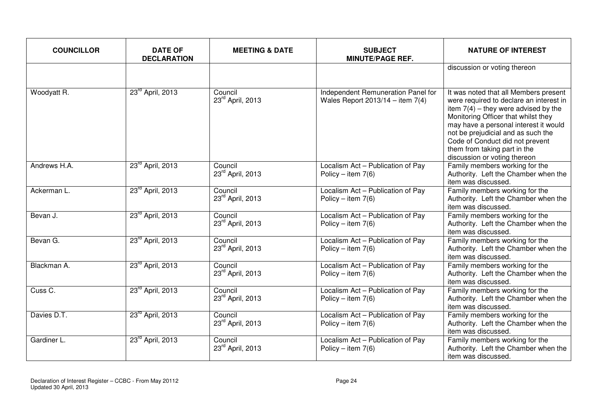| <b>COUNCILLOR</b>  | <b>DATE OF</b><br><b>DECLARATION</b> | <b>MEETING &amp; DATE</b>   | <b>SUBJECT</b><br><b>MINUTE/PAGE REF.</b>                                | <b>NATURE OF INTEREST</b>                                                                                                                                                                                                                                                                                                                           |
|--------------------|--------------------------------------|-----------------------------|--------------------------------------------------------------------------|-----------------------------------------------------------------------------------------------------------------------------------------------------------------------------------------------------------------------------------------------------------------------------------------------------------------------------------------------------|
|                    |                                      |                             |                                                                          | discussion or voting thereon                                                                                                                                                                                                                                                                                                                        |
| Woodyatt R.        | 23 <sup>rd</sup> April, 2013         | Council<br>23rd April, 2013 | Independent Remuneration Panel for<br>Wales Report $2013/14 -$ item 7(4) | It was noted that all Members present<br>were required to declare an interest in<br>item $7(4)$ – they were advised by the<br>Monitoring Officer that whilst they<br>may have a personal interest it would<br>not be prejudicial and as such the<br>Code of Conduct did not prevent<br>them from taking part in the<br>discussion or voting thereon |
| Andrews H.A.       | 23rd April, 2013                     | Council<br>23rd April, 2013 | Localism Act - Publication of Pay<br>Policy – item $7(6)$                | Family members working for the<br>Authority. Left the Chamber when the<br>item was discussed.                                                                                                                                                                                                                                                       |
| Ackerman L.        | 23rd April, 2013                     | Council<br>23rd April, 2013 | Localism Act - Publication of Pay<br>Policy – item $7(6)$                | Family members working for the<br>Authority. Left the Chamber when the<br>item was discussed.                                                                                                                                                                                                                                                       |
| Bevan J.           | 23 <sup>rd</sup> April, 2013         | Council<br>23rd April, 2013 | Localism Act - Publication of Pay<br>Policy – item $7(6)$                | Family members working for the<br>Authority. Left the Chamber when the<br>item was discussed.                                                                                                                                                                                                                                                       |
| Bevan G.           | 23 <sup>rd</sup> April, 2013         | Council<br>23rd April, 2013 | Localism Act - Publication of Pay<br>Policy – item $7(6)$                | Family members working for the<br>Authority. Left the Chamber when the<br>item was discussed.                                                                                                                                                                                                                                                       |
| Blackman A.        | 23 <sup>rd</sup> April, 2013         | Council<br>23rd April, 2013 | Localism Act - Publication of Pay<br>Policy – item $7(6)$                | Family members working for the<br>Authority. Left the Chamber when the<br>item was discussed.                                                                                                                                                                                                                                                       |
| Cuss <sub>C.</sub> | 23 <sup>rd</sup> April, 2013         | Council<br>23rd April, 2013 | Localism Act - Publication of Pay<br>Policy – item $7(6)$                | Family members working for the<br>Authority. Left the Chamber when the<br>item was discussed.                                                                                                                                                                                                                                                       |
| Davies D.T.        | 23 <sup>rd</sup> April, 2013         | Council<br>23rd April, 2013 | Localism Act - Publication of Pay<br>Policy – item $7(6)$                | Family members working for the<br>Authority. Left the Chamber when the<br>item was discussed.                                                                                                                                                                                                                                                       |
| Gardiner L.        | 23 <sup>rd</sup> April, 2013         | Council<br>23rd April, 2013 | Localism Act - Publication of Pay<br>Policy – item $7(6)$                | Family members working for the<br>Authority. Left the Chamber when the<br>item was discussed.                                                                                                                                                                                                                                                       |